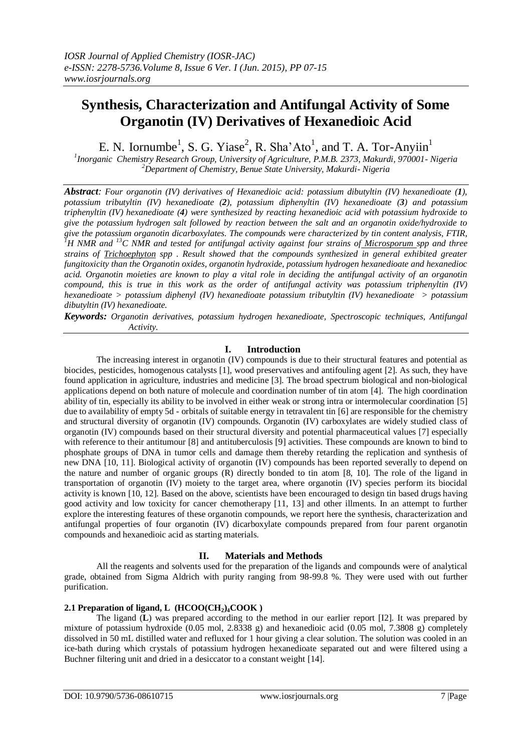# **Synthesis, Characterization and Antifungal Activity of Some Organotin (IV) Derivatives of Hexanedioic Acid**

E. N. Iornumbe<sup>1</sup>, S. G. Yiase<sup>2</sup>, R. Sha'Ato<sup>1</sup>, and T. A. Tor-Anyiin<sup>1</sup>

*1 Inorganic Chemistry Research Group, University of Agriculture, P.M.B. 2373, Makurdi, 970001- Nigeria <sup>2</sup>Department of Chemistry, Benue State University, Makurdi- Nigeria*

*Abstract: Four organotin (IV) derivatives of Hexanedioic acid: potassium dibutyltin (IV) hexanedioate (1), potassium tributyltin (IV) hexanedioate (2), potassium diphenyltin (IV) hexanedioate (3) and potassium triphenyltin (IV) hexanedioate (4) were synthesized by reacting hexanedioic acid with potassium hydroxide to give the potassium hydrogen salt followed by reaction between the salt and an organotin oxide/hydroxide to give the potassium organotin dicarboxylates. The compounds were characterized by tin content analysis, FTIR, <sup>1</sup>H NMR and <sup>13</sup>C NMR and tested for antifungal activity against four strains of Microsporum spp and three strains of Trichoephyton spp . Result showed that the compounds synthesized in general exhibited greater fungitoxicity than the Organotin oxides, organotin hydroxide, potassium hydrogen hexanedioate and hexanedioc acid. Organotin moieties are known to play a vital role in deciding the antifungal activity of an organotin compound, this is true in this work as the order of antifungal activity was potassium triphenyltin (IV) hexanedioate > potassium diphenyl (IV) hexanedioate potassium tributyltin (IV) hexanedioate > potassium dibutyltin (IV) hexanedioate.*

*Keywords: Organotin derivatives, potassium hydrogen hexanedioate, Spectroscopic techniques, Antifungal Activity.*

# **I. Introduction**

The increasing interest in organotin (IV) compounds is due to their structural features and potential as biocides, pesticides, homogenous catalysts [1], wood preservatives and antifouling agent [2]. As such, they have found application in agriculture, industries and medicine [3]. The broad spectrum biological and non-biological applications depend on both nature of molecule and coordination number of tin atom [4]. The high coordination ability of tin, especially its ability to be involved in either weak or strong intra or intermolecular coordination [5] due to availability of empty 5d - orbitals of suitable energy in tetravalent tin [6] are responsible for the chemistry and structural diversity of organotin (IV) compounds. Organotin (IV) carboxylates are widely studied class of organotin (IV) compounds based on their structural diversity and potential pharmaceutical values [7] especially with reference to their antitumour [8] and antituberculosis [9] activities. These compounds are known to bind to phosphate groups of DNA in tumor cells and damage them thereby retarding the replication and synthesis of new DNA [10, 11]. Biological activity of organotin (IV) compounds has been reported severally to depend on the nature and number of organic groups (R) directly bonded to tin atom [8, 10]. The role of the ligand in transportation of organotin (IV) moiety to the target area, where organotin (IV) species perform its biocidal activity is known [10, 12]. Based on the above, scientists have been encouraged to design tin based drugs having good activity and low toxicity for cancer chemotherapy [11, 13] and other illments. In an attempt to further explore the interesting features of these organotin compounds, we report here the synthesis, characterization and antifungal properties of four organotin (IV) dicarboxylate compounds prepared from four parent organotin compounds and hexanedioic acid as starting materials.

## **II. Materials and Methods**

All the reagents and solvents used for the preparation of the ligands and compounds were of analytical grade, obtained from Sigma Aldrich with purity ranging from 98-99.8 %. They were used with out further purification.

# **2.1 Preparation of ligand, L (HCOO(CH2)4COOK )**

The ligand (**L**) was prepared according to the method in our earlier report [I2]. It was prepared by mixture of potassium hydroxide (0.05 mol, 2.8338 g) and hexanedioic acid (0.05 mol, 7.3808 g) completely dissolved in 50 mL distilled water and refluxed for 1 hour giving a clear solution. The solution was cooled in an ice-bath during which crystals of potassium hydrogen hexanedioate separated out and were filtered using a Buchner filtering unit and dried in a desiccator to a constant weight [14].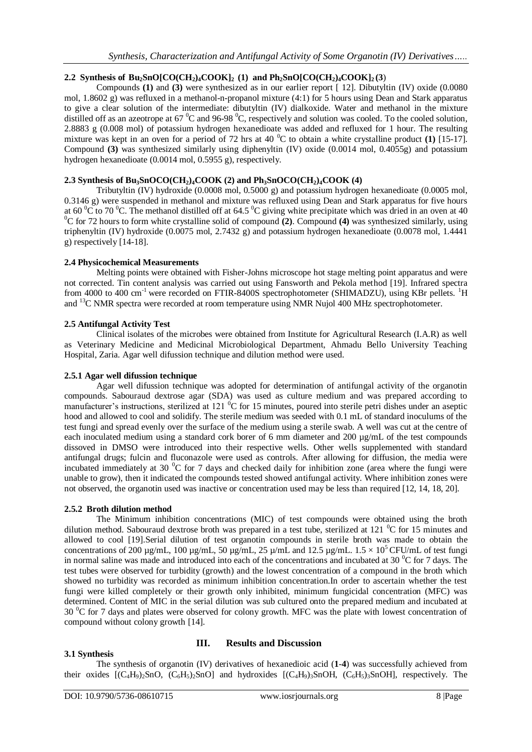# **2.2 Synthesis of Bu2SnO[CO(CH2)4COOK]2 (1) and Ph2SnO[CO(CH2)4COOK]2 (3**)

Compounds **(1)** and **(3)** were synthesized as in our earlier report [ 12]. Dibutyltin (IV) oxide (0.0080 mol, 1.8602 g) was refluxed in a methanol-n-propanol mixture (4:1) for 5 hours using Dean and Stark apparatus to give a clear solution of the intermediate: dibutyltin (IV) dialkoxide. Water and methanol in the mixture distilled off as an azeotrope at 67  $^{\circ}$ C and 96-98  $^{\circ}$ C, respectively and solution was cooled. To the cooled solution, 2.8883 g (0.008 mol) of potassium hydrogen hexanedioate was added and refluxed for 1 hour. The resulting mixture was kept in an oven for a period of 72 hrs at 40 <sup>o</sup>C to obtain a white crystalline product **(1)** [15-17]. Compound **(3)** was synthesized similarly using diphenyltin (IV) oxide (0.0014 mol, 0.4055g) and potassium hydrogen hexanedioate (0.0014 mol, 0.5955 g), respectively.

# **2.3 Synthesis of Bu3SnOCO(CH2)4COOK (2) and Ph3SnOCO(CH2)4COOK (4)**

Tributyltin (IV) hydroxide (0.0008 mol, 0.5000 g) and potassium hydrogen hexanedioate (0.0005 mol, 0.3146 g) were suspended in methanol and mixture was refluxed using Dean and Stark apparatus for five hours at 60  $\rm{^0C}$  to 70  $\rm{^0C}$ . The methanol distilled off at 64.5  $\rm{^0C}$  giving white precipitate which was dried in an oven at 40 <sup>0</sup>C for 72 hours to form white crystalline solid of compound **(2)**. Compound **(4)** was synthesized similarly, using triphenyltin (IV) hydroxide (0.0075 mol, 2.7432 g) and potassium hydrogen hexanedioate (0.0078 mol, 1.4441 g) respectively [14-18].

# **2.4 Physicochemical Measurements**

Melting points were obtained with Fisher-Johns microscope hot stage melting point apparatus and were not corrected. Tin content analysis was carried out using Fansworth and Pekola method [19]. Infrared spectra from 4000 to 400 cm<sup>-1</sup> were recorded on FTIR-8400S spectrophotometer (SHIMADZU), using KBr pellets. <sup>1</sup>H and <sup>13</sup>C NMR spectra were recorded at room temperature using NMR Nujol 400 MHz spectrophotometer.

## **2.5 Antifungal Activity Test**

Clinical isolates of the microbes were obtained from Institute for Agricultural Research (I.A.R) as well as Veterinary Medicine and Medicinal Microbiological Department, Ahmadu Bello University Teaching Hospital, Zaria. Agar well difussion technique and dilution method were used.

## **2.5.1 Agar well difussion technique**

Agar well difussion technique was adopted for determination of antifungal activity of the organotin compounds. Sabouraud dextrose agar (SDA) was used as culture medium and was prepared according to manufacturer's instructions, sterilized at  $121\,^{\circ}$ C for 15 minutes, poured into sterile petri dishes under an aseptic hood and allowed to cool and solidify. The sterile medium was seeded with 0.1 mL of standard inoculums of the test fungi and spread evenly over the surface of the medium using a sterile swab. A well was cut at the centre of each inoculated medium using a standard cork borer of 6 mm diameter and 200  $\mu$ g/mL of the test compounds dissoved in DMSO were introduced into their respective wells. Other wells supplemented with standard antifungal drugs; fulcin and fluconazole were used as controls. After allowing for diffusion, the media were incubated immediately at 30 $\mathrm{^{0}C}$  for 7 days and checked daily for inhibition zone (area where the fungi were unable to grow), then it indicated the compounds tested showed antifungal activity. Where inhibition zones were not observed, the organotin used was inactive or concentration used may be less than required [12, 14, 18, 20].

## **2.5.2 Broth dilution method**

The Minimum inhibition concentrations (MIC) of test compounds were obtained using the broth dilution method. Sabouraud dextrose broth was prepared in a test tube, sterilized at 121 <sup>o</sup>C for 15 minutes and allowed to cool [19].Serial dilution of test organotin compounds in sterile broth was made to obtain the concentrations of 200 µg/mL, 100 µg/mL, 50 µg/mL, 25 µ/mL and 12.5 µg/mL.  $1.5 \times 10^5$  CFU/mL of test fungi in normal saline was made and introduced into each of the concentrations and incubated at 30  $\rm{^0C}$  for 7 days. The test tubes were observed for turbidity (growth) and the lowest concentration of a compound in the broth which showed no turbidity was recorded as minimum inhibition concentration.In order to ascertain whether the test fungi were killed completely or their growth only inhibited, minimum fungicidal concentration (MFC) was determined. Content of MIC in the serial dilution was sub cultured onto the prepared medium and incubated at  $30<sup>o</sup>C$  for 7 days and plates were observed for colony growth. MFC was the plate with lowest concentration of compound without colony growth [14].

## **3.1 Synthesis**

## **III. Results and Discussion**

The synthesis of organotin (IV) derivatives of hexanedioic acid (**1**-**4**) was successfully achieved from their oxides  $[(C_4H_9)_2SnO, (C_6H_5)_2SnO]$  and hydroxides  $[(C_4H_9)_3SnOH, (C_6H_5)_3SnOH]$ , respectively. The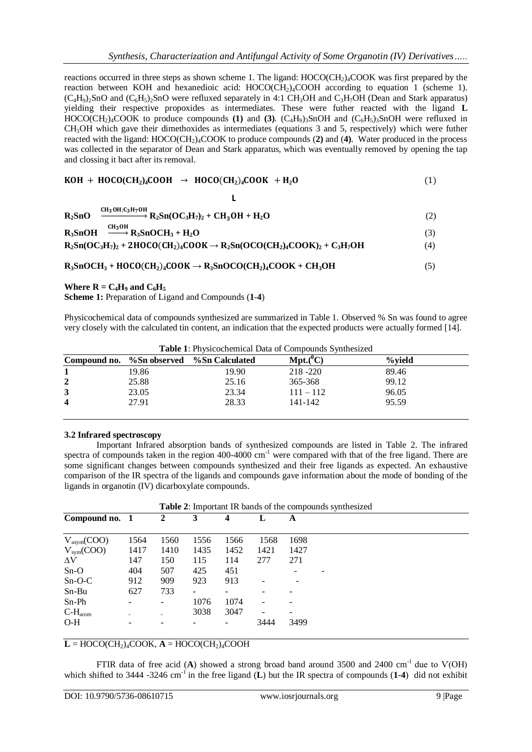reactions occurred in three steps as shown scheme 1. The ligand:  $HOCO(CH<sub>2</sub>)<sub>4</sub>COOK$  was first prepared by the reaction between KOH and hexanedioic acid:  $HOCO(CH_2)_4COOH$  according to equation 1 (scheme 1).  $(C_4H_9)$ :SnO and  $(C_6H_5)$ :SnO were refluxed separately in 4:1 CH<sub>3</sub>OH and C<sub>3</sub>H<sub>7</sub>OH (Dean and Stark apparatus) yielding their respective propoxides as intermediates. These were futher reacted with the ligand **L** HOCO(CH<sub>2</sub>)<sub>4</sub>COOK to produce compounds (1) and (3). (C<sub>4</sub>H<sub>9</sub>)<sub>3</sub>SnOH and (C<sub>6</sub>H<sub>5</sub>)<sub>3</sub>SnOH were refluxed in CH3OH which gave their dimethoxides as intermediates (equations 3 and 5, respectively) which were futher reacted with the ligand: HOCO(CH2)4COOK to produce compounds (**2)** and (**4)**. Water produced in the process was collected in the separator of Dean and Stark apparatus, which was eventually removed by opening the tap and clossing it bact after its removal.

$$
KOH + HOCO(CH2)4COOH \rightarrow HOCO(CH2)4COOK + H2O
$$
 (1)

**L**

| $R_2SnO \xrightarrow{CH_3OH; C_3H_7OH} R_2Sn(OC_3H_7)_2 + CH_3OH + H_2O$               |     |
|----------------------------------------------------------------------------------------|-----|
| $R_3$ SnOH $\xrightarrow{CH_3OH} R_3$ SnOCH <sub>3</sub> + H <sub>2</sub> O            |     |
| $R_2Sn(OC_3H_7)_2 + 2HOCO(CH_2)_4COOK \rightarrow R_2Sn(OCO(CH_2)_4COOK)_2 + C_3H_7OH$ | (4) |

 $R_3$ **SnOCH**<sub>3</sub> + **HOCO(CH**<sub>2</sub>)<sub>4</sub>**COOK**  $\rightarrow$   $R_3$ **SnOCO(CH**<sub>2</sub>)<sub>4</sub>**COOK** + **CH**<sub>3</sub>**OH** (5)

#### **Where**  $R = C_4H_9$  **and**  $C_6H_5$

**Scheme 1:** Preparation of Ligand and Compounds (**1**-**4**)

Physicochemical data of compounds synthesized are summarized in Table 1. Observed % Sn was found to agree very closely with the calculated tin content, an indication that the expected products were actually formed [14].

|                         |       | Compound no. %Sn observed %Sn Calculated | $Mpt.(^0C)$ | %vield |
|-------------------------|-------|------------------------------------------|-------------|--------|
|                         | 19.86 | 19.90                                    | 218 - 220   | 89.46  |
| $\overline{2}$          | 25.88 | 25.16                                    | 365-368     | 99.12  |
| 3                       | 23.05 | 23.34                                    | $111 - 112$ | 96.05  |
| $\overline{\mathbf{4}}$ | 27.91 | 28.33                                    | 141-142     | 95.59  |

**Table 1**: Physicochemical Data of Compounds Synthesized

#### **3.2 Infrared spectroscopy**

Important Infrared absorption bands of synthesized compounds are listed in Table 2. The infrared spectra of compounds taken in the region 400-4000  $cm^{-1}$  were compared with that of the free ligand. There are some significant changes between compounds synthesized and their free ligands as expected. An exhaustive comparison of the IR spectra of the ligands and compounds gave information about the mode of bonding of the ligands in organotin (IV) dicarboxylate compounds.

| Table 2: Important IR bands of the compounds synthesized |      |      |      |      |      |      |  |
|----------------------------------------------------------|------|------|------|------|------|------|--|
| Compound no. 1                                           |      | 2    | 3    |      | L    | A    |  |
| $V_{asym}(COO)$                                          | 1564 | 1560 | 1556 | 1566 | 1568 | 1698 |  |
| $V_{sym}(COO)$                                           | 1417 | 1410 | 1435 | 1452 | 1421 | 1427 |  |
| $\Delta V$                                               | 147  | 150  | 115  | 114  | 277  | 271  |  |
| $Sn-O$                                                   | 404  | 507  | 425  | 451  |      |      |  |
| $Sn-O-C$                                                 | 912  | 909  | 923  | 913  |      |      |  |
| $Sn-Bu$                                                  | 627  | 733  | -    |      |      |      |  |
| Sn-Ph                                                    |      |      | 1076 | 1074 |      |      |  |
| $C-H_{\text{arom}}$                                      |      |      | 3038 | 3047 |      |      |  |
| $O-H$                                                    |      |      |      |      | 3444 | 3499 |  |

## $\mathbf{L} = \text{HOCO}(\text{CH}_2)_{4}\text{COOK}$ ,  $\mathbf{A} = \text{HOCO}(\text{CH}_2)_{4}\text{COOH}$

FTIR data of free acid (A) showed a strong broad band around 3500 and 2400 cm<sup>-1</sup> due to V(OH) which shifted to 3444 -3246 cm<sup>-1</sup> in the free ligand  $(L)$  but the IR spectra of compounds  $(1-4)$  did not exhibit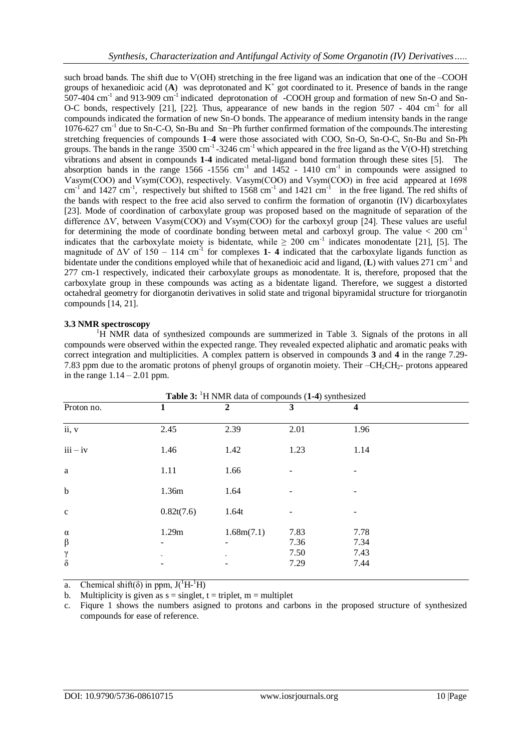such broad bands. The shift due to V(OH) stretching in the free ligand was an indication that one of the –COOH groups of hexanedioic acid  $(A)$  was deprotonated and  $K^+$  got coordinated to it. Presence of bands in the range 507-404 cm<sup>-1</sup> and 913-909 cm<sup>-1</sup> indicated deprotonation of -COOH group and formation of new Sn-O and Sn-O-C bonds, respectively [21], [22]. Thus, appearance of new bands in the region 507 - 404 cm<sup>-1</sup> for all compounds indicated the formation of new Sn-O bonds. The appearance of medium intensity bands in the range 1076-627 cm-1 due to Sn-C-O, Sn-Bu and Sn−Ph further confirmed formation of the compounds.The interesting stretching frequencies of compounds **1**–**4** were those associated with COO, Sn-O, Sn-O-C, Sn-Bu and Sn-Ph groups. The bands in the range  $3500 \text{ cm}^{-1}$  -3246 cm<sup>-1</sup> which appeared in the free ligand as the V(O-H) stretching vibrations and absent in compounds **1**-**4** indicated metal-ligand bond formation through these sites [5]. The absorption bands in the range  $1566 - 1556$  cm<sup>-1</sup> and  $1452 - 1410$  cm<sup>-1</sup> in compounds were assigned to Ѵasym(COO) and Ѵsym(COO), respectively. Ѵasym(COO) and Ѵsym(COO) in free acid appeared at 1698 cm<sup>-1</sup> and 1427 cm<sup>-1</sup>, respectively but shifted to 1568 cm<sup>-1</sup> and 1421 cm<sup>-1</sup> in the free ligand. The red shifts of the bands with respect to the free acid also served to confirm the formation of organotin (IV) dicarboxylates [23]. Mode of coordination of carboxylate group was proposed based on the magnitude of separation of the difference ΔѴ, between Ѵasym(COO) and Ѵsym(COO) for the carboxyl group [24]. These values are useful for determining the mode of coordinate bonding between metal and carboxyl group. The value  $< 200 \text{ cm}^{-1}$ indicates that the carboxylate moiety is bidentate, while  $\geq 200$  cm<sup>-1</sup> indicates monodentate [21], [5]. The magnitude of  $\Delta V$  of 150 – 114 cm<sup>-1</sup> for complexes 1-4 indicated that the carboxylate ligands function as bidentate under the conditions employed while that of hexanedioic acid and ligand, (L) with values 271 cm<sup>-1</sup> and 277 cm-1 respectively, indicated their carboxylate groups as monodentate. It is, therefore, proposed that the carboxylate group in these compounds was acting as a bidentate ligand. Therefore, we suggest a distorted octahedral geometry for diorganotin derivatives in solid state and trigonal bipyramidal structure for triorganotin compounds [14, 21].

#### **3.3 NMR spectroscopy**

<sup>1</sup>H NMR data of synthesized compounds are summerized in Table 3. Signals of the protons in all compounds were observed within the expected range. They revealed expected aliphatic and aromatic peaks with correct integration and multiplicities. A complex pattern is observed in compounds **3** and **4** in the range 7.29- 7.83 ppm due to the aromatic protons of phenyl groups of organotin moiety. Their –CH<sub>2</sub>CH<sub>2</sub>- protons appeared in the range  $1.14 - 2.01$  ppm.

| <b>Table 3:</b> <sup>1</sup> H NMR data of compounds (1-4) synthesized |            |              |                              |                              |  |  |  |  |
|------------------------------------------------------------------------|------------|--------------|------------------------------|------------------------------|--|--|--|--|
| Proton no.                                                             |            | $\mathbf{2}$ | 3                            | 4                            |  |  |  |  |
| ii, v                                                                  | 2.45       | 2.39         | 2.01                         | 1.96                         |  |  |  |  |
| $iii - iv$                                                             | 1.46       | 1.42         | 1.23                         | 1.14                         |  |  |  |  |
| a                                                                      | 1.11       | 1.66         |                              |                              |  |  |  |  |
| $\mathbf b$                                                            | 1.36m      | 1.64         |                              |                              |  |  |  |  |
| $\mathbf c$                                                            | 0.82t(7.6) | 1.64t        |                              |                              |  |  |  |  |
| $\alpha$<br>$\boldsymbol{\beta}$<br>$\gamma$<br>$\delta$               | 1.29m      | 1.68m(7.1)   | 7.83<br>7.36<br>7.50<br>7.29 | 7.78<br>7.34<br>7.43<br>7.44 |  |  |  |  |

a. Chemical shift( $\delta$ ) in ppm,  $J(^1H^{-1}H)$ 

b. Multiplicity is given as  $s =$  singlet,  $t =$  triplet,  $m =$  multiplet

c. Fiqure 1 shows the numbers asigned to protons and carbons in the proposed structure of synthesized compounds for ease of reference.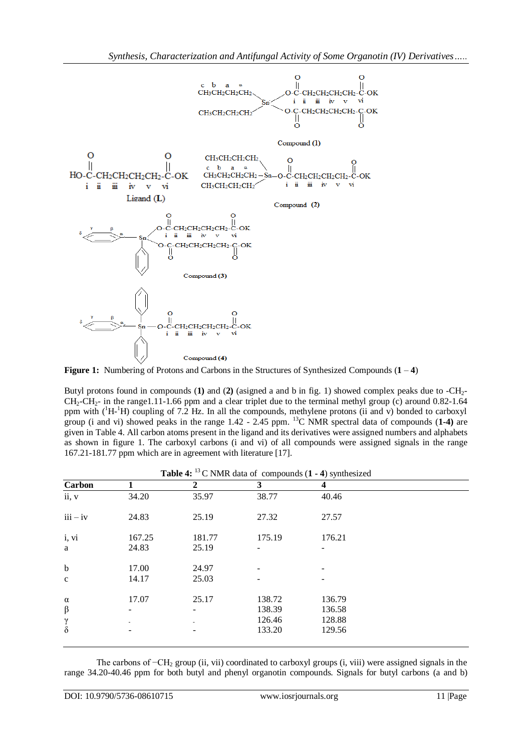

**Figure 1:** Numbering of Protons and Carbons in the Structures of Synthesized Compounds (**1** – **4**)

Butyl protons found in compounds (**1)** and (**2)** (asigned a and b in fig. 1) showed complex peaks due to -CH2-  $CH_2-CH_2$ - in the range1.11-1.66 ppm and a clear triplet due to the terminal methyl group (c) around 0.82-1.64 ppm with  $(^1H^{-1}H)$  coupling of 7.2 Hz. In all the compounds, methylene protons (ii and v) bonded to carboxyl group (i and vi) showed peaks in the range 1.42 - 2.45 ppm. <sup>13</sup>C NMR spectral data of compounds (**1-4)** are given in Table 4. All carbon atoms present in the ligand and its derivatives were assigned numbers and alphabets as shown in figure 1. The carboxyl carbons (i and vi) of all compounds were assigned signals in the range 167.21-181.77 ppm which are in agreement with literature [17].

|  | <b>Table 4:</b> <sup>13</sup> C NMR data of compounds $(1 - 4)$ synthesized |
|--|-----------------------------------------------------------------------------|
|--|-----------------------------------------------------------------------------|

| Carbon      |                          | $\mathbf{2}$ | 3      | 4      |  |
|-------------|--------------------------|--------------|--------|--------|--|
| ii, v       | 34.20                    | 35.97        | 38.77  | 40.46  |  |
| $iii - iv$  | 24.83                    | 25.19        | 27.32  | 27.57  |  |
| i, vi       | 167.25                   | 181.77       | 175.19 | 176.21 |  |
| a           | 24.83                    | 25.19        |        |        |  |
| $\mathbf b$ | 17.00                    | 24.97        |        |        |  |
| $\mathbf c$ | 14.17                    | 25.03        |        |        |  |
| $\alpha$    | 17.07                    | 25.17        | 138.72 | 136.79 |  |
| $\beta$     | $\overline{\phantom{a}}$ | -            | 138.39 | 136.58 |  |
| $\gamma$    |                          |              | 126.46 | 128.88 |  |
| $\delta$    | -                        | -            | 133.20 | 129.56 |  |

The carbons of −CH<sub>2</sub> group (ii, vii) coordinated to carboxyl groups (i, viii) were assigned signals in the range 34.20-40.46 ppm for both butyl and phenyl organotin compounds. Signals for butyl carbons (a and b)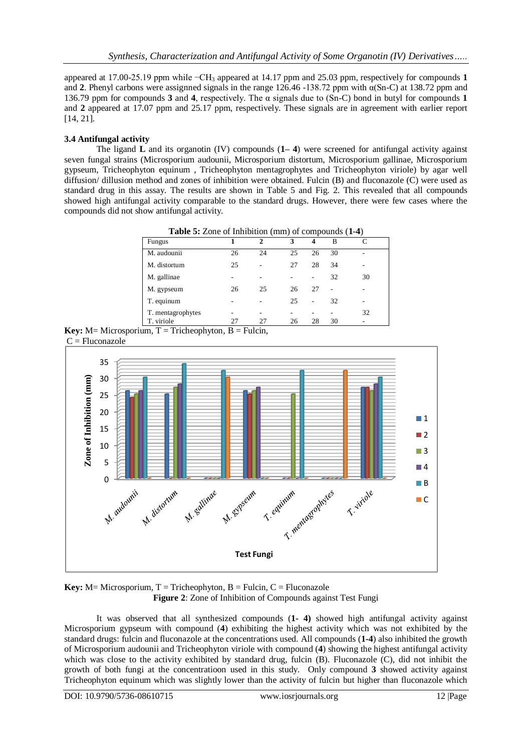appeared at 17.00-25.19 ppm while −CH<sup>3</sup> appeared at 14.17 ppm and 25.03 ppm, respectively for compounds **1** and **2**. Phenyl carbons were assignned signals in the range  $126.46 -138.72$  ppm with  $\alpha(Sn-C)$  at 138.72 ppm and 136.79 ppm for compounds **3** and **4**, respectively. The α signals due to (Sn-C) bond in butyl for compounds **1** and **2** appeared at 17.07 ppm and 25.17 ppm, respectively. These signals are in agreement with earlier report [14, 21].

# **3.4 Antifungal activity**

The ligand **L** and its organotin (IV) compounds (**1– 4**) were screened for antifungal activity against seven fungal strains (Microsporium audounii, Microsporium distortum, Microsporium gallinae, Microsporium gypseum, Tricheophyton equinum , Tricheophyton mentagrophytes and Tricheophyton viriole) by agar well diffusion/ dillusion method and zones of inhibition were obtained. Fulcin (B) and fluconazole (C) were used as standard drug in this assay. The results are shown in Table 5 and Fig. 2. This revealed that all compounds showed high antifungal activity comparable to the standard drugs. However, there were few cases where the compounds did not show antifungal activity.

| Table 5: Zone of Inhibition (mm) of compounds (1-4) |    |    |    |    |    |    |  |
|-----------------------------------------------------|----|----|----|----|----|----|--|
| <b>Fungus</b>                                       |    | 2  | 3  |    | В  |    |  |
| M. audounii                                         | 26 | 24 | 25 | 26 | 30 |    |  |
| M. distortum                                        | 25 | -  | 27 | 28 | 34 |    |  |
| M. gallinae                                         |    |    |    |    | 32 | 30 |  |
| M. gypseum                                          | 26 | 25 | 26 | 27 | ۰  |    |  |
| T. equinum                                          |    |    | 25 |    | 32 |    |  |
| T. mentagrophytes                                   |    | -  |    |    |    | 32 |  |
| T. viriole                                          | 27 | 27 | 26 | 28 | 30 |    |  |

**Key:**  $M=$  Microsporium,  $T =$  Tricheophyton,  $B =$  Fulcin, C = Fluconazole



**Key:**  $M =$  Microsporium,  $T =$  Tricheophyton,  $B =$  Fulcin,  $C =$  Fluconazole **Figure 2**: Zone of Inhibition of Compounds against Test Fungi

It was observed that all synthesized compounds (**1- 4)** showed high antifungal activity against Microsporium gypseum with compound (**4**) exhibiting the highest activity which was not exhibited by the standard drugs: fulcin and fluconazole at the concentrations used. All compounds (**1-4**) also inhibited the growth of Microsporium audounii and Tricheophyton viriole with compound (**4**) showing the highest antifungal activity which was close to the activity exhibited by standard drug, fulcin (B). Fluconazole (C), did not inhibit the growth of both fungi at the concentratioon used in this study. Only compound **3** showed activity against Tricheophyton equinum which was slightly lower than the activity of fulcin but higher than fluconazole which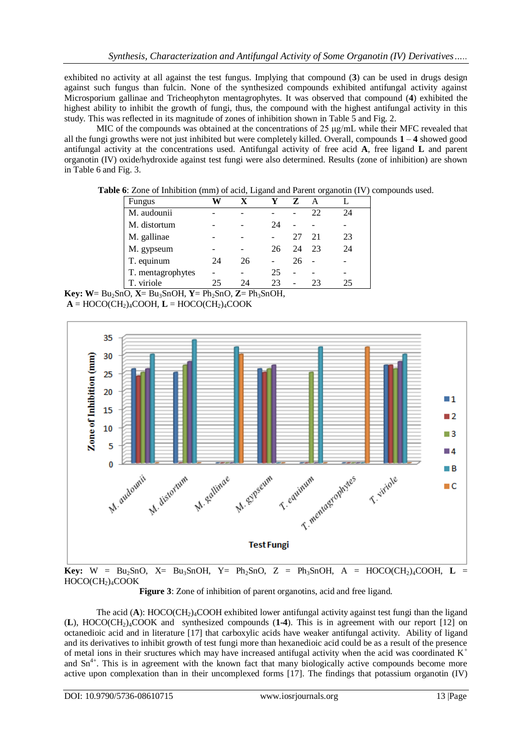exhibited no activity at all against the test fungus. Implying that compound (**3**) can be used in drugs design against such fungus than fulcin. None of the synthesized compounds exhibited antifungal activity against Microsporium gallinae and Tricheophyton mentagrophytes. It was observed that compound (**4**) exhibited the highest ability to inhibit the growth of fungi, thus, the compound with the highest antifungal activity in this study. This was reflected in its magnitude of zones of inhibition shown in Table 5 and Fig. 2.

MIC of the compounds was obtained at the concentrations of 25 μg/mL while their MFC revealed that all the fungi growths were not just inhibited but were completely killed. Overall, compounds **1** – **4** showed good antifungal activity at the concentrations used. Antifungal activity of free acid **A**, free ligand **L** and parent organotin (IV) oxide/hydroxide against test fungi were also determined. Results (zone of inhibition) are shown in Table 6 and Fig. 3.

**Table 6**: Zone of Inhibition (mm) of acid, Ligand and Parent organotin (IV) compounds used.

| Fungus            |    | x  | v  | Z  | $\mathsf{A}$ |    |
|-------------------|----|----|----|----|--------------|----|
| M. audounii       |    |    |    |    | 22           | 24 |
| M. distortum      |    |    | 24 |    |              |    |
| M. gallinae       |    |    |    | 27 | -21          | 23 |
| M. gypseum        |    |    | 26 | 24 | 23           | 24 |
| T. equinum        | 24 | 26 |    | 26 |              |    |
| T. mentagrophytes |    |    | 25 |    |              |    |
| T. viriole        | 25 | 24 | 23 |    | 23           | 25 |

**Key:**  $W = Bu_2SnO$ ,  $X = Bu_3SnOH$ ,  $Y = Ph_2SnO$ ,  $Z = Ph_3SnOH$ ,  $A = HOCO(CH_2)_4COOH$ ,  $L = HOCO(CH_2)_4COOK$ 



HOCO(CH<sub>2</sub>)<sub>4</sub>COOK

**Figure 3**: Zone of inhibition of parent organotins, acid and free ligand.

The acid  $(A)$ : HOCO( $CH<sub>2</sub>$ <sub>4</sub>COOH exhibited lower antifungal activity against test fungi than the ligand (**L**), HOCO(CH2)4COOK and synthesized compounds (**1-4**). This is in agreement with our report [12] on octanedioic acid and in literature [17] that carboxylic acids have weaker antifungal activity. Ability of ligand and its derivatives to inhibit growth of test fungi more than hexanedioic acid could be as a result of the presence of metal ions in their sructures which may have increased antifugal activity when the acid was coordinated  $K^+$ and  $Sn^{4+}$ . This is in agreement with the known fact that many biologically active compounds become more active upon complexation than in their uncomplexed forms [17]. The findings that potassium organotin (IV)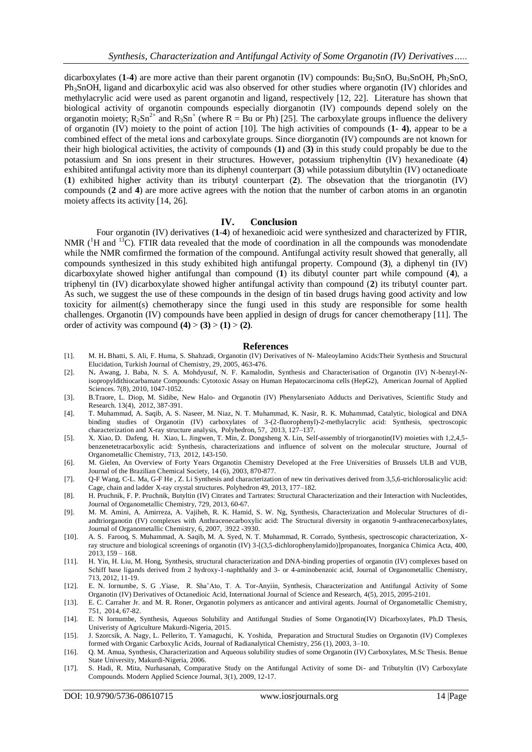dicarboxylates  $(1-4)$  are more active than their parent organotin  $(IV)$  compounds: Bu<sub>2</sub>SnO, Bu<sub>3</sub>SnOH, Ph<sub>2</sub>SnO, Ph3SnOH, ligand and dicarboxylic acid was also observed for other studies where organotin (IV) chlorides and methylacrylic acid were used as parent organotin and ligand, respectively [12, 22]. Literature has shown that biological activity of organotin compounds especially diorganotin (IV) compounds depend solely on the organotin moiety;  $R_2Sn^{2+}$  and  $R_3Sn^{+}$  (where  $R = Bu$  or Ph) [25]. The carboxylate groups influence the delivery of organotin (IV) moiety to the point of action [10]. The high activities of compounds (**1**- **4)**, appear to be a combined effect of the metal ions and carboxylate groups. Since diorganotin (IV) compounds are not known for their high biological activities, the activity of compounds (**1)** and (**3)** in this study could propably be due to the potassium and Sn ions present in their structures. However, potassium triphenyltin (IV) hexanedioate (**4**) exhibited antifungal activity more than its diphenyl counterpart (**3**) while potassium dibutyltin (IV) octanedioate (**1**) exhibited higher activity than its tributyl counterpart (**2**). The obsevation that the triorganotin (IV) compounds (**2** and **4**) are more active agrees with the notion that the number of carbon atoms in an organotin moiety affects its activity [14, 26].

#### **IV. Conclusion**

Four organotin (IV) derivatives (**1**-**4**) of hexanedioic acid were synthesized and characterized by FTIR, NMR  $(^1H$  and <sup>13</sup>C). FTIR data revealed that the mode of coordination in all the compounds was monodendate while the NMR comfirmed the formation of the compound. Antifungal activity result showed that generally, all compounds synthesized in this study exhibited high antifungal property. Compound (**3**), a diphenyl tin (IV) dicarboxylate showed higher antifungal than compound (**1**) its dibutyl counter part while compound (**4**), a triphenyl tin (IV) dicarboxylate showed higher antifungal activity than compound (**2**) its tributyl counter part. As such, we suggest the use of these compounds in the design of tin based drugs having good activity and low toxicity for ailment(s) chemotherapy since the fungi used in this study are responsible for some health challenges. Organotin (IV) compounds have been applied in design of drugs for cancer chemotherapy [11]. The order of activity was compound  $(4)$  >  $(3)$  >  $(1)$  >  $(2)$ .

#### **References**

- [1]. M. H**.** Bhatti, S. Ali, F. Huma, S. Shahzadi, Organotin (IV) Derivatives of N- Maleoylamino Acids:Their Synthesis and Structural Elucidation, Turkish Journal of Chemistry, 29, 2005, 463-476.
- [2]. N**.** Awang, J. Baba, N. S. A. Mohdyusuf, N. F. Kamalodin, Synthesis and Characterisation of Organotin (IV) N-benzyl-Nisopropyldithiocarbamate Compounds: Cytotoxic Assay on Human Hepatocarcinoma cells (HepG2), American Journal of Applied Sciences. 7(8), 2010, 1047-1052.
- [3]. B.Traore, L. Diop, M. Sidibe, New Halo- and Organotin (IV) Phenylarseniato Adducts and Derivatives, Scientific Study and Research. 13(4), 2012, 387-391.
- [4]. T. Muhammad, A. Saqib, A. S. Naseer, M. Niaz, N. T. Muhammad, K. Nasir, R. K. Muhammad, Catalytic, biological and DNA binding studies of Organotin (IV) carboxylates of 3-(2-fluorophenyl)-2-methylacrylic acid: Synthesis, spectroscopic characterization and X-ray structure analysis, Polyhedron, 57, 2013, 127–137.
- [5]. X. Xiao, D. Dafeng, H. Xiao, L. Jingwen, T. Min, Z. Dongsheng X. Lin, Self-assembly of triorganotin(IV) moieties with 1,2,4,5 benzenetetracarboxylic acid: Synthesis, characterizations and influence of solvent on the molecular structure, Journal of Organometallic Chemistry, 713, 2012, 143-150.
- [6]. M. Gielen, An Overview of Forty Years Organotin Chemistry Developed at the Free Universities of Brussels ULB and VUB, Journal of the Brazilian Chemical Society, 14 (6), 2003, 870-877.
- [7]. Q-F Wang, C-L. Ma, G-F He , Z. Li Synthesis and characterization of new tin derivatives derived from 3,5,6-trichlorosalicylic acid: Cage, chain and ladder X-ray crystal structures. Polyhedron 49, 2013, 177–182.
- [8]. H. Pruchnik, F. P. Pruchnik, Butyltin (IV) Citrates and Tartrates: Structural Characterization and their Interaction with Nucleotides, Journal of Organometallic Chemistry, 729, 2013, 60-67.
- [9]. M. M. Amini, A. Amirreza, A. Vajiheh, R. K. Hamid, S. W. Ng, Synthesis, Characterization and Molecular Structures of diandtriorganotin (IV) complexes with Anthracenecarboxylic acid: The Structural diversity in organotin 9-anthracenecarboxylates, Journal of Organometallic Chemistry, 6, 2007, 3922 -3930.
- [10]. A. S.Farooq, S. Muhammad, A. Saqib, M. A. Syed, N. T. Muhammad, R. Corrado, Synthesis, spectroscopic characterization, Xray structure and biological screenings of organotin (IV) 3-[(3,5-dichlorophenylamido)]propanoates, Inorganica Chimica Acta, 400, 2013, 159 – 168.
- [11]. H. Yin, H. Liu, M. Hong, Synthesis, structural characterization and DNA-binding properties of organotin (IV) complexes based on Schiff base ligands derived from 2 hydroxy-1-naphthaldy and 3- or 4-aminobenzoic acid, Journal of Organometallic Chemistry, 713, 2012, 11-19.
- [12]. E. N. Iornumbe, S. G .Yiase, R. Sha'Ato, T. A. Tor-Anyiin, Synthesis, Characterization and Antifungal Activity of Some Organotin (IV) Derivatives of Octanedioic Acid, International Journal of Science and Research, 4(5), 2015, 2095-2101.
- [13]. E. C. Carraher Jr. and M. R. Roner, Organotin polymers as anticancer and antiviral agents. Journal of Organometallic Chemistry, 751, 2014, 67-82.
- [14]. E. N Iornumbe, Synthesis, Aqueous Solubility and Antifungal Studies of Some Organotin(IV) Dicarboxylates, Ph.D Thesis, Univeristy of Agriculture Makurdi-Nigeria, 2015.
- [15]. J. Szorcsik, A. Nagy, L. Pellerito, T. Yamaguchi, K. Yoshida, Preparation and Structural Studies on Organotin (IV) Complexes formed with Organic Carboxylic Acids, Journal of Radianalytical Chemistry, 256 (1), 2003, 3–10.
- [16]. Q. M. Amua, Synthesis, Characterization and Aqueous solubility studies of some Organotin (IV) Carboxylates, M.Sc Thesis. Benue State University, Makurdi-Nigeria, 2006.
- [17]. S. Hadi, R. Mita, Nurhasanah, Comparative Study on the Antifungal Activity of some Di- and Tributyltin (IV) Carboxylate Compounds. Modern Applied Science Journal, 3(1), 2009, 12-17.